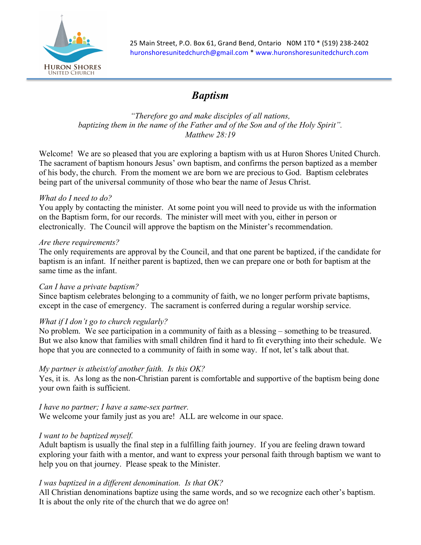

25 Main Street, P.O. Box 61, Grand Bend, Ontario N0M 1T0 \* (519) 238-2402 huronshoresunitedchurch@gmail.com \* www.huronshoresunitedchurch.com

# *Baptism*

*"Therefore go and make disciples of all nations, baptizing them in the name of the Father and of the Son and of the Holy Spirit". Matthew 28:19*

Welcome! We are so pleased that you are exploring a baptism with us at Huron Shores United Church. The sacrament of baptism honours Jesus' own baptism, and confirms the person baptized as a member of his body, the church. From the moment we are born we are precious to God. Baptism celebrates being part of the universal community of those who bear the name of Jesus Christ.

#### *What do I need to do?*

You apply by contacting the minister. At some point you will need to provide us with the information on the Baptism form, for our records. The minister will meet with you, either in person or electronically. The Council will approve the baptism on the Minister's recommendation.

#### *Are there requirements?*

The only requirements are approval by the Council, and that one parent be baptized, if the candidate for baptism is an infant. If neither parent is baptized, then we can prepare one or both for baptism at the same time as the infant.

#### *Can I have a private baptism?*

Since baptism celebrates belonging to a community of faith, we no longer perform private baptisms, except in the case of emergency. The sacrament is conferred during a regular worship service.

## *What if I don't go to church regularly?*

No problem. We see participation in a community of faith as a blessing – something to be treasured. But we also know that families with small children find it hard to fit everything into their schedule. We hope that you are connected to a community of faith in some way. If not, let's talk about that.

## *My partner is atheist/of another faith. Is this OK?*

Yes, it is. As long as the non-Christian parent is comfortable and supportive of the baptism being done your own faith is sufficient.

# *I have no partner; I have a same-sex partner.*

We welcome your family just as you are! ALL are welcome in our space.

## *I want to be baptized myself.*

Adult baptism is usually the final step in a fulfilling faith journey. If you are feeling drawn toward exploring your faith with a mentor, and want to express your personal faith through baptism we want to help you on that journey. Please speak to the Minister.

## *I was baptized in a different denomination. Is that OK?*

All Christian denominations baptize using the same words, and so we recognize each other's baptism. It is about the only rite of the church that we do agree on!